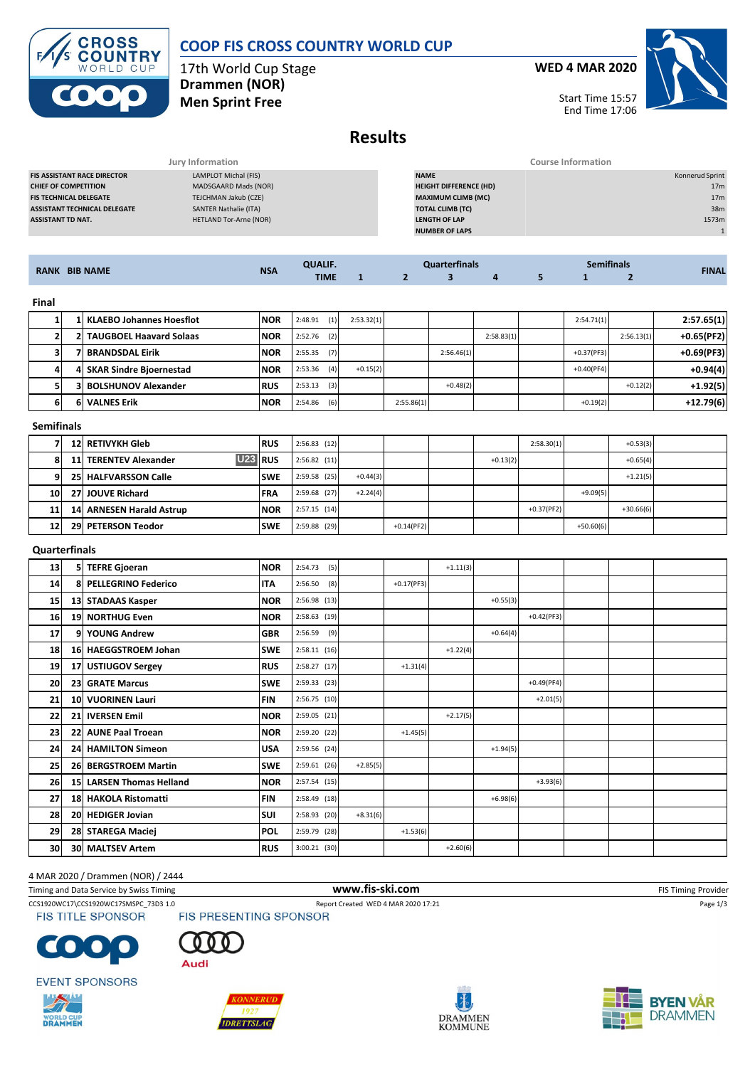# **COOP FIS CROSS COUNTRY WORLD CUP**



17th World Cup Stage **Drammen (NOR) Men Sprint Free**

**WED 4 MAR 2020**



Start Time 15:57 End Time 17:06

## **Results**

|                                     | Jury Information              | <b>Course Information</b>     |                 |
|-------------------------------------|-------------------------------|-------------------------------|-----------------|
| <b>FIS ASSISTANT RACE DIRECTOR</b>  | LAMPLOT Michal (FIS)          | <b>NAME</b>                   | Konnerud Sprint |
| <b>CHIEF OF COMPETITION</b>         | MADSGAARD Mads (NOR)          | <b>HEIGHT DIFFERENCE (HD)</b> | 17 <sub>m</sub> |
| <b>FIS TECHNICAL DELEGATE</b>       | TEJCHMAN Jakub (CZE)          | <b>MAXIMUM CLIMB (MC)</b>     | 17 <sub>m</sub> |
| <b>ASSISTANT TECHNICAL DELEGATE</b> | SANTER Nathalie (ITA)         | <b>TOTAL CLIMB (TC)</b>       | 38m             |
| <b>ASSISTANT TD NAT.</b>            | <b>HETLAND Tor-Arne (NOR)</b> | <b>LENGTH OF LAP</b>          | 1573m           |
|                                     |                               | <b>NUMBER OF LAPS</b>         |                 |
|                                     |                               |                               |                 |

| <b>RANK BIB NAME</b> |   |                                 | <b>QUALIF.</b> |                   | <b>Quarterfinals</b> |              |            |            | <b>FINAL</b> |              |            |              |
|----------------------|---|---------------------------------|----------------|-------------------|----------------------|--------------|------------|------------|--------------|--------------|------------|--------------|
|                      |   |                                 | <b>NSA</b>     | <b>TIME</b>       | $\mathbf{1}$         | $\mathbf{2}$ | 3          | 4          | 5            | л.           | 2          |              |
| Final                |   |                                 |                |                   |                      |              |            |            |              |              |            |              |
|                      | 1 | <b>KLAEBO Johannes Hoesflot</b> | <b>NOR</b>     | (1)<br>2:48.91    | 2:53.32(1)           |              |            |            |              | 2:54.71(1)   |            | 2:57.65(1)   |
|                      |   | 2 TAUGBOEL Haavard Solaas       | <b>NOR</b>     | 2:52.76<br>(2)    |                      |              |            | 2:58.83(1) |              |              | 2:56.13(1) | $+0.65(PF2)$ |
| 3                    |   | <b>BRANDSDAL Eirik</b>          | <b>NOR</b>     | 2:55.35<br>(7)    |                      |              | 2:56.46(1) |            |              | $+0.37(PF3)$ |            | $+0.69(PF3)$ |
|                      |   | 4 SKAR Sindre Bioernestad       | <b>NOR</b>     | (4)<br>2:53.36    | $+0.15(2)$           |              |            |            |              | $+0.40(PF4)$ |            | $+0.94(4)$   |
| 5                    |   | 3 BOLSHUNOV Alexander           | <b>RUS</b>     | 2:53.13<br>(3)    |                      |              | $+0.48(2)$ |            |              |              | $+0.12(2)$ | $+1.92(5)$   |
| 6                    |   | <b>6 VALNES Erik</b>            | <b>NOR</b>     | 2:54.86<br>(6)    |                      | 2:55.86(1)   |            |            |              | $+0.19(2)$   |            | $+12.79(6)$  |
| <b>Semifinals</b>    |   |                                 |                |                   |                      |              |            |            |              |              |            |              |
| - 1                  |   | <b>AALBERTANILLALL</b>          | DOM:           | $0.50001$ $(4.0)$ |                      |              |            |            | 2.5000141    |              | $C = 2(2)$ |              |

|           | <b>12 RETIVYKH Gleb</b>                   | <b>RUS</b> | 2:56.83(12)    |            |              |            | 2:58.30(1)   |             | $+0.53(3)$  |  |
|-----------|-------------------------------------------|------------|----------------|------------|--------------|------------|--------------|-------------|-------------|--|
| 81        | $U23$ RUS<br><b>11 TERENTEV Alexander</b> |            | $2:56.82$ (11) |            |              | $+0.13(2)$ |              |             | $+0.65(4)$  |  |
| 9         | <b>25 HALFVARSSON Calle</b>               | <b>SWE</b> | $2:59.58$ (25) | $+0.44(3)$ |              |            |              |             | $+1.21(5)$  |  |
| <b>10</b> | 27 JOUVE Richard                          | <b>FRA</b> | $2:59.68$ (27) | $+2.24(4)$ |              |            |              | $+9.09(5)$  |             |  |
| 11        | 14 ARNESEN Harald Astrup                  | <b>NOR</b> | $2:57.15$ (14) |            |              |            | $+0.37(PF2)$ |             | $+30.66(6)$ |  |
| 12        | 29 PETERSON Teodor                        | <b>SWE</b> | 2:59.88 (29)   |            | $+0.14(PF2)$ |            |              | $+50.60(6)$ |             |  |

### **Quarterfinals**

| 13 | 51 | <b>TEFRE Gjoeran</b>     | <b>NOR</b> | 2:54.73<br>(5) |            |               | $+1.11(3)$ |            |              |  |  |
|----|----|--------------------------|------------|----------------|------------|---------------|------------|------------|--------------|--|--|
| 14 |    | 8 PELLEGRINO Federico    | <b>ITA</b> | (8)<br>2:56.50 |            | $+0.17$ (PF3) |            |            |              |  |  |
| 15 |    | 13 STADAAS Kasper        | <b>NOR</b> | 2:56.98 (13)   |            |               |            | $+0.55(3)$ |              |  |  |
| 16 |    | 19 NORTHUG Even          | <b>NOR</b> | 2:58.63 (19)   |            |               |            |            | $+0.42(PF3)$ |  |  |
| 17 |    | 9 YOUNG Andrew           | <b>GBR</b> | 2:56.59<br>(9) |            |               |            | $+0.64(4)$ |              |  |  |
| 18 |    | 16 HAEGGSTROEM Johan     | <b>SWE</b> | 2:58.11(16)    |            |               | $+1.22(4)$ |            |              |  |  |
| 19 |    | 17 USTIUGOV Sergey       | <b>RUS</b> | $2:58.27$ (17) |            | $+1.31(4)$    |            |            |              |  |  |
| 20 |    | 23 GRATE Marcus          | <b>SWE</b> | $2:59.33$ (23) |            |               |            |            | $+0.49(PF4)$ |  |  |
| 21 |    | 10 VUORINEN Lauri        | <b>FIN</b> | 2:56.75 (10)   |            |               |            |            | $+2.01(5)$   |  |  |
| 22 |    | 21 IVERSEN Emil          | <b>NOR</b> | 2:59.05 (21)   |            |               | $+2.17(5)$ |            |              |  |  |
| 23 |    | 22 AUNE Paal Troean      | <b>NOR</b> | 2:59.20 (22)   |            | $+1.45(5)$    |            |            |              |  |  |
| 24 |    | 24 HAMILTON Simeon       | <b>USA</b> | 2:59.56 (24)   |            |               |            | $+1.94(5)$ |              |  |  |
| 25 |    | 26 BERGSTROEM Martin     | <b>SWE</b> | 2:59.61(26)    | $+2.85(5)$ |               |            |            |              |  |  |
| 26 |    | 15 LARSEN Thomas Helland | <b>NOR</b> | 2:57.54 (15)   |            |               |            |            | $+3.93(6)$   |  |  |
| 27 |    | 18 HAKOLA Ristomatti     | <b>FIN</b> | 2:58.49 (18)   |            |               |            | $+6.98(6)$ |              |  |  |
| 28 |    | 20 HEDIGER Jovian        | <b>SUI</b> | 2:58.93 (20)   | $+8.31(6)$ |               |            |            |              |  |  |
| 29 |    | 28 STAREGA Maciej        | <b>POL</b> | 2:59.79 (28)   |            | $+1.53(6)$    |            |            |              |  |  |
| 30 |    | <b>30 MALTSEV Artem</b>  | <b>RUS</b> | 3:00.21 (30)   |            |               | $+2.60(6)$ |            |              |  |  |

### 4 MAR 2020 / Drammen (NOR) / 2444

Timing and Data Service by Swiss Timing **WWW.fis-Ski.com WWW.fis-Ski.com** FIS Timing Provider

CCS1920WC17\CCS1920WC17SMSPC\_73D3 1.0 Report Created WED 4 MAR 2020 17:21 Page 1/3<br>FIS TITLE SPONSOR FIS PRESENTING SPONSOR



**EVENT SPONSORS** 





Audi



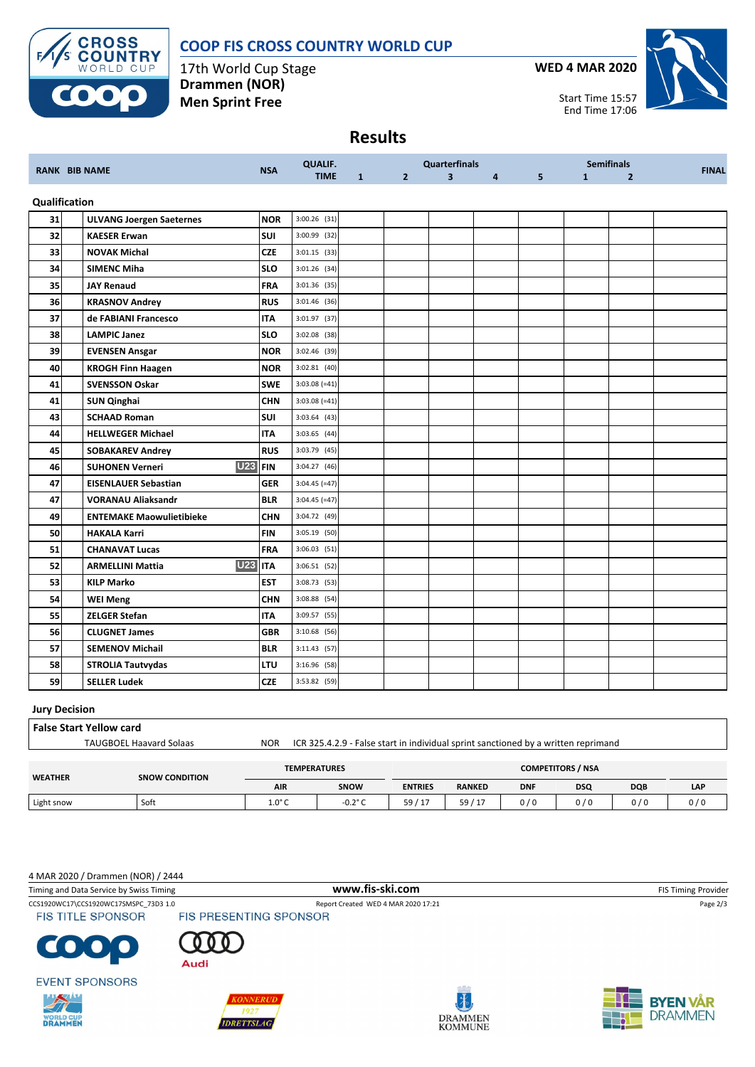

17th World Cup Stage **Drammen (NOR) Men Sprint Free**

**CROSS<br>COUNTRY** WORLD CUP





Start Time 15:57 End Time 17:06

### **Results**

|    |                                       | <b>NSA</b>  | <b>QUALIF.</b>  |              | <b>Quarterfinals</b> |                |                | <b>Semifinals</b> |              |                | <b>FINAL</b> |
|----|---------------------------------------|-------------|-----------------|--------------|----------------------|----------------|----------------|-------------------|--------------|----------------|--------------|
|    | <b>RANK BIB NAME</b>                  |             | <b>TIME</b>     | $\mathbf{1}$ | 2 <sup>1</sup>       | $\overline{3}$ | $\overline{4}$ | 5 <sup>1</sup>    | $\mathbf{1}$ | $\overline{2}$ |              |
|    | Qualification                         |             |                 |              |                      |                |                |                   |              |                |              |
| 31 | <b>ULVANG Joergen Saeternes</b>       | <b>NOR</b>  | $3:00.26$ (31)  |              |                      |                |                |                   |              |                |              |
| 32 | <b>KAESER Erwan</b>                   | <b>SUI</b>  | 3:00.99 (32)    |              |                      |                |                |                   |              |                |              |
| 33 | <b>NOVAK Michal</b>                   | <b>CZE</b>  | $3:01.15$ (33)  |              |                      |                |                |                   |              |                |              |
| 34 | <b>SIMENC Miha</b>                    | <b>SLO</b>  | $3:01.26$ (34)  |              |                      |                |                |                   |              |                |              |
| 35 | <b>JAY Renaud</b>                     | <b>FRA</b>  | 3:01.36 (35)    |              |                      |                |                |                   |              |                |              |
| 36 | <b>KRASNOV Andrey</b>                 | <b>RUS</b>  | 3:01.46 (36)    |              |                      |                |                |                   |              |                |              |
| 37 | de FABIANI Francesco                  | <b>ITA</b>  | 3:01.97 (37)    |              |                      |                |                |                   |              |                |              |
| 38 | <b>LAMPIC Janez</b>                   | <b>SLO</b>  | 3:02.08 (38)    |              |                      |                |                |                   |              |                |              |
| 39 | <b>EVENSEN Ansgar</b>                 | <b>NOR</b>  | 3:02.46 (39)    |              |                      |                |                |                   |              |                |              |
| 40 | <b>KROGH Finn Haagen</b>              | <b>NOR</b>  | $3:02.81$ (40)  |              |                      |                |                |                   |              |                |              |
| 41 | <b>SVENSSON Oskar</b>                 | <b>SWE</b>  | $3:03.08 (=41)$ |              |                      |                |                |                   |              |                |              |
| 41 | <b>SUN Qinghai</b>                    | <b>CHN</b>  | $3:03.08$ (=41) |              |                      |                |                |                   |              |                |              |
| 43 | <b>SCHAAD Roman</b>                   | <b>SUI</b>  | $3:03.64$ (43)  |              |                      |                |                |                   |              |                |              |
| 44 | <b>HELLWEGER Michael</b>              | <b>ITA</b>  | $3:03.65$ (44)  |              |                      |                |                |                   |              |                |              |
| 45 | <b>SOBAKAREV Andrey</b>               | <b>RUS</b>  | 3:03.79 (45)    |              |                      |                |                |                   |              |                |              |
| 46 | <b>U23</b><br><b>SUHONEN Verneri</b>  | <b>IFIN</b> | $3:04.27$ (46)  |              |                      |                |                |                   |              |                |              |
| 47 | <b>EISENLAUER Sebastian</b>           | <b>GER</b>  | $3:04.45$ (=47) |              |                      |                |                |                   |              |                |              |
| 47 | <b>VORANAU Aliaksandr</b>             | <b>BLR</b>  | $3:04.45$ (=47) |              |                      |                |                |                   |              |                |              |
| 49 | <b>ENTEMAKE Maowulietibieke</b>       | <b>CHN</b>  | 3:04.72 (49)    |              |                      |                |                |                   |              |                |              |
| 50 | <b>HAKALA Karri</b>                   | <b>FIN</b>  | 3:05.19 (50)    |              |                      |                |                |                   |              |                |              |
| 51 | <b>CHANAVAT Lucas</b>                 | <b>FRA</b>  | $3:06.03$ (51)  |              |                      |                |                |                   |              |                |              |
| 52 | <b>U23</b><br><b>ARMELLINI Mattia</b> | <b>ITA</b>  | $3:06.51$ (52)  |              |                      |                |                |                   |              |                |              |
| 53 | <b>KILP Marko</b>                     | <b>EST</b>  | 3:08.73 (53)    |              |                      |                |                |                   |              |                |              |
| 54 | <b>WEI Meng</b>                       | <b>CHN</b>  | 3:08.88 (54)    |              |                      |                |                |                   |              |                |              |
| 55 | <b>ZELGER Stefan</b>                  | <b>ITA</b>  | 3:09.57 (55)    |              |                      |                |                |                   |              |                |              |
| 56 | <b>CLUGNET James</b>                  | <b>GBR</b>  | 3:10.68 (56)    |              |                      |                |                |                   |              |                |              |
| 57 | <b>SEMENOV Michail</b>                | <b>BLR</b>  | $3:11.43$ (57)  |              |                      |                |                |                   |              |                |              |
| 58 | <b>STROLIA Tautvydas</b>              | <b>LTU</b>  | 3:16.96 (58)    |              |                      |                |                |                   |              |                |              |
| 59 | <b>SELLER Ludek</b>                   | <b>CZE</b>  | 3:53.82 (59)    |              |                      |                |                |                   |              |                |              |

#### **Jury Decision**

| <b>False Start Yellow card</b> |                                |                                                                                    |                     |                          |               |            |            |            |     |  |  |
|--------------------------------|--------------------------------|------------------------------------------------------------------------------------|---------------------|--------------------------|---------------|------------|------------|------------|-----|--|--|
|                                | <b>TAUGBOEL Haavard Solaas</b> | ICR 325.4.2.9 - False start in individual sprint sanctioned by a written reprimand |                     |                          |               |            |            |            |     |  |  |
|                                |                                |                                                                                    |                     |                          |               |            |            |            |     |  |  |
| <b>WEATHER</b>                 | <b>SNOW CONDITION</b>          |                                                                                    | <b>TEMPERATURES</b> | <b>COMPETITORS / NSA</b> |               |            |            |            |     |  |  |
|                                |                                | <b>AIR</b>                                                                         | <b>SNOW</b>         | <b>ENTRIES</b>           | <b>RANKED</b> | <b>DNF</b> | <b>DSQ</b> | <b>DQB</b> | LAP |  |  |

Light snow | Soft | 1.0°C | -0.2°C | 59 / 17 | 59 / 17 | 0 / 0 | 0 / 0 | 0 / 0 | 0 / 0

#### 4 MAR 2020 / Drammen (NOR) / 2444

Timing and Data Service by Swiss Timing **WWW.fis-Ski.com WWW.fis-Ski.com** FIS Timing Provider CCS1920WC17\CCS1920WC17SMSPC\_73D3 1.0 Report Created WED 4 MAR 2020 17:21 Page 2/3<br>FIS TITLE SPONSOR FIS PRESENTING SPONSOR **FIS TITLE SPONSOR**  $\bullet$ Audi **EVENT SPONSORS**